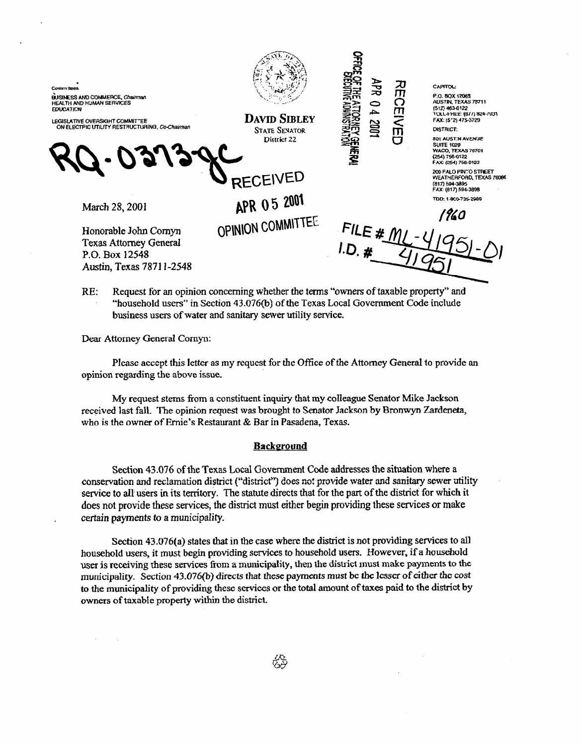BUSINESS AND COMMERCE, Chairman **EDUCATION** 

LEGISLATIVE OVERSIGHT COMMITTEE<br>ON ELECTPIC UTILITY RESTRUCTURING, Co-Chairman

**RECEIVED** 

March 28, 2001

Honorable John Cornyn **Texas Attorney General** P.O. Box 12548 Austin, Texas 78711-2548

**DAVID SIBLEY STATE SENATOR** District 22

 $\overline{\phantom{0}}$ kb <u>ਨ</u>ਾ **m 0 m** 

**< m u** 

*CAPITOL:* 

*Pa. Box 1206s*  **WSTIN. TEXAS 78711**  1512, 463-0122<br>TOLL-FREE: 1877) 824-7031<br>FAX: 15°2) 475-3729 **DISTRICT:** 

**801 AU31.4 AVENUE**<br>**SUITE 1020<br>WACO, TEXAS 76701<br>FAX: (254) 756-0123** 

**2013 PALO PINTO STREET WEAT+IERFORD. 7EXAs 76086 Run 59&389f= kAi (617) 59&99 mm 1-exb735zs8Q** 

1960

RE: Request for an opinion concerning whether the terms "owners of taxable property" and 'household users" in Section 43.076(b) of the Texas LocaI Government Code include business users of water and sanitary sewer utility service.

APR 05 2001

OPINION COMMITTEE

Dear Attorney General **Comyn:** 

Please **accept** this **letter** as my request for the Office of the Attorney General to provide an opinion regarding the above issue.

My request stms from a constituent inquiry that my colleague Senator Mike Jackson received last fall. The opinion request was brought to Senator Jackson by Bronwyn Zardeneta, who is the owner of Ernie's Restaurant & Bar in Pasadena, Texas.

## **Background**

Section 43.076 of the Texas Local Government Code addresses the situation where a conservation and reclamation district ("district") does not provide water and sanitary sewer utility service to alI tiers in its territory. The statute directs that for the part of the district for **which** it does not provide these services, the district must either begin providing these services or make certain payments to a municipality.

Section  $43.076(a)$  states that in the case where the district is not providing services to all household users, it must begin providing services to household users. However, if a household user is receiving these services from a municipality, then the district must make payments to the municipality. Section 43.076(b) directs that these payments must be the lesser of either the cost to the municipality of providing these services or the total amount of taxes paid to the district by owners of taxable property within the district.